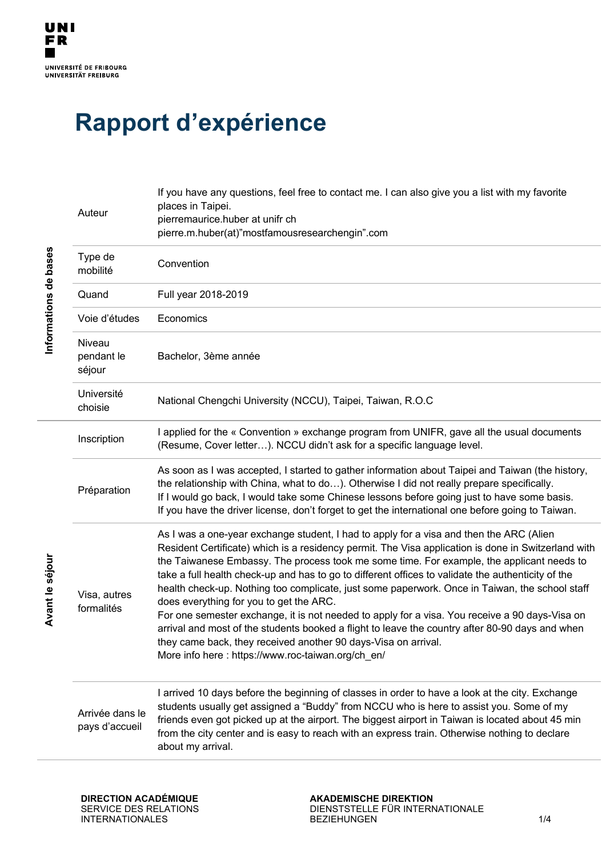## **Rapport d'expérience**

|  | Auteur                            | If you have any questions, feel free to contact me. I can also give you a list with my favorite<br>places in Taipei.<br>pierremaurice.huber at unifr ch<br>pierre.m.huber(at)"mostfamousresearchengin".com                                                                                                                                                                                                                                                                                                                                                                                                                                                                                                                                                                                                                                                                  |
|--|-----------------------------------|-----------------------------------------------------------------------------------------------------------------------------------------------------------------------------------------------------------------------------------------------------------------------------------------------------------------------------------------------------------------------------------------------------------------------------------------------------------------------------------------------------------------------------------------------------------------------------------------------------------------------------------------------------------------------------------------------------------------------------------------------------------------------------------------------------------------------------------------------------------------------------|
|  | Type de<br>mobilité               | Convention                                                                                                                                                                                                                                                                                                                                                                                                                                                                                                                                                                                                                                                                                                                                                                                                                                                                  |
|  | Quand                             | Full year 2018-2019                                                                                                                                                                                                                                                                                                                                                                                                                                                                                                                                                                                                                                                                                                                                                                                                                                                         |
|  | Voie d'études                     | Economics                                                                                                                                                                                                                                                                                                                                                                                                                                                                                                                                                                                                                                                                                                                                                                                                                                                                   |
|  | Niveau<br>pendant le<br>séjour    | Bachelor, 3ème année                                                                                                                                                                                                                                                                                                                                                                                                                                                                                                                                                                                                                                                                                                                                                                                                                                                        |
|  | Université<br>choisie             | National Chengchi University (NCCU), Taipei, Taiwan, R.O.C                                                                                                                                                                                                                                                                                                                                                                                                                                                                                                                                                                                                                                                                                                                                                                                                                  |
|  | Inscription                       | I applied for the « Convention » exchange program from UNIFR, gave all the usual documents<br>(Resume, Cover letter). NCCU didn't ask for a specific language level.                                                                                                                                                                                                                                                                                                                                                                                                                                                                                                                                                                                                                                                                                                        |
|  | Préparation                       | As soon as I was accepted, I started to gather information about Taipei and Taiwan (the history,<br>the relationship with China, what to do). Otherwise I did not really prepare specifically.<br>If I would go back, I would take some Chinese lessons before going just to have some basis.<br>If you have the driver license, don't forget to get the international one before going to Taiwan.                                                                                                                                                                                                                                                                                                                                                                                                                                                                          |
|  | Visa, autres<br>formalités        | As I was a one-year exchange student, I had to apply for a visa and then the ARC (Alien<br>Resident Certificate) which is a residency permit. The Visa application is done in Switzerland with<br>the Taiwanese Embassy. The process took me some time. For example, the applicant needs to<br>take a full health check-up and has to go to different offices to validate the authenticity of the<br>health check-up. Nothing too complicate, just some paperwork. Once in Taiwan, the school staff<br>does everything for you to get the ARC.<br>For one semester exchange, it is not needed to apply for a visa. You receive a 90 days-Visa on<br>arrival and most of the students booked a flight to leave the country after 80-90 days and when<br>they came back, they received another 90 days-Visa on arrival.<br>More info here : https://www.roc-taiwan.org/ch en/ |
|  | Arrivée dans le<br>pays d'accueil | I arrived 10 days before the beginning of classes in order to have a look at the city. Exchange<br>students usually get assigned a "Buddy" from NCCU who is here to assist you. Some of my<br>friends even got picked up at the airport. The biggest airport in Taiwan is located about 45 min<br>from the city center and is easy to reach with an express train. Otherwise nothing to declare<br>about my arrival.                                                                                                                                                                                                                                                                                                                                                                                                                                                        |

Avant le séjour **Avant le séjour**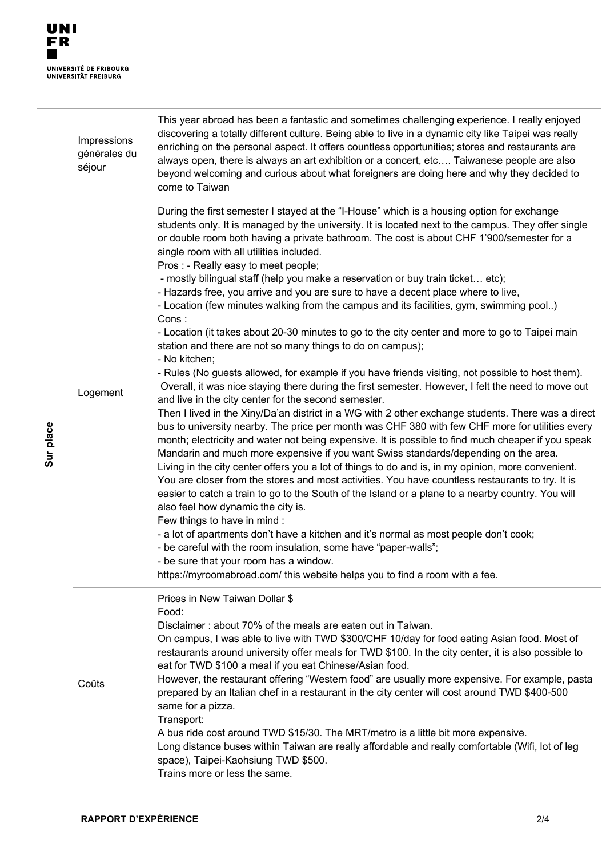**Sur place**

|  | Impressions<br>générales du<br>séjour | This year abroad has been a fantastic and sometimes challenging experience. I really enjoyed<br>discovering a totally different culture. Being able to live in a dynamic city like Taipei was really<br>enriching on the personal aspect. It offers countless opportunities; stores and restaurants are<br>always open, there is always an art exhibition or a concert, etc Taiwanese people are also<br>beyond welcoming and curious about what foreigners are doing here and why they decided to<br>come to Taiwan                                                                                                                                                                                                                                                                                                                                                                                                                                                                                                                                                                                                                                                                                                                                                                                                                                                                                                                                                                                                                                                                                                                                                                                                                                                                                                                                                                                                                                                                                                                                                                                                                                                                                |
|--|---------------------------------------|-----------------------------------------------------------------------------------------------------------------------------------------------------------------------------------------------------------------------------------------------------------------------------------------------------------------------------------------------------------------------------------------------------------------------------------------------------------------------------------------------------------------------------------------------------------------------------------------------------------------------------------------------------------------------------------------------------------------------------------------------------------------------------------------------------------------------------------------------------------------------------------------------------------------------------------------------------------------------------------------------------------------------------------------------------------------------------------------------------------------------------------------------------------------------------------------------------------------------------------------------------------------------------------------------------------------------------------------------------------------------------------------------------------------------------------------------------------------------------------------------------------------------------------------------------------------------------------------------------------------------------------------------------------------------------------------------------------------------------------------------------------------------------------------------------------------------------------------------------------------------------------------------------------------------------------------------------------------------------------------------------------------------------------------------------------------------------------------------------------------------------------------------------------------------------------------------------|
|  | Logement                              | During the first semester I stayed at the "I-House" which is a housing option for exchange<br>students only. It is managed by the university. It is located next to the campus. They offer single<br>or double room both having a private bathroom. The cost is about CHF 1'900/semester for a<br>single room with all utilities included.<br>Pros : - Really easy to meet people;<br>- mostly bilingual staff (help you make a reservation or buy train ticket etc);<br>- Hazards free, you arrive and you are sure to have a decent place where to live,<br>- Location (few minutes walking from the campus and its facilities, gym, swimming pool)<br>Cons:<br>- Location (it takes about 20-30 minutes to go to the city center and more to go to Taipei main<br>station and there are not so many things to do on campus);<br>- No kitchen;<br>- Rules (No guests allowed, for example if you have friends visiting, not possible to host them).<br>Overall, it was nice staying there during the first semester. However, I felt the need to move out<br>and live in the city center for the second semester.<br>Then I lived in the Xiny/Da'an district in a WG with 2 other exchange students. There was a direct<br>bus to university nearby. The price per month was CHF 380 with few CHF more for utilities every<br>month; electricity and water not being expensive. It is possible to find much cheaper if you speak<br>Mandarin and much more expensive if you want Swiss standards/depending on the area.<br>Living in the city center offers you a lot of things to do and is, in my opinion, more convenient.<br>You are closer from the stores and most activities. You have countless restaurants to try. It is<br>easier to catch a train to go to the South of the Island or a plane to a nearby country. You will<br>also feel how dynamic the city is.<br>Few things to have in mind :<br>- a lot of apartments don't have a kitchen and it's normal as most people don't cook;<br>- be careful with the room insulation, some have "paper-walls";<br>- be sure that your room has a window.<br>https://myroomabroad.com/ this website helps you to find a room with a fee. |
|  | Coûts                                 | Prices in New Taiwan Dollar \$<br>Food:<br>Disclaimer: about 70% of the meals are eaten out in Taiwan.<br>On campus, I was able to live with TWD \$300/CHF 10/day for food eating Asian food. Most of<br>restaurants around university offer meals for TWD \$100. In the city center, it is also possible to<br>eat for TWD \$100 a meal if you eat Chinese/Asian food.<br>However, the restaurant offering "Western food" are usually more expensive. For example, pasta<br>prepared by an Italian chef in a restaurant in the city center will cost around TWD \$400-500<br>same for a pizza.<br>Transport:<br>A bus ride cost around TWD \$15/30. The MRT/metro is a little bit more expensive.<br>Long distance buses within Taiwan are really affordable and really comfortable (Wifi, lot of leg<br>space), Taipei-Kaohsiung TWD \$500.<br>Trains more or less the same.                                                                                                                                                                                                                                                                                                                                                                                                                                                                                                                                                                                                                                                                                                                                                                                                                                                                                                                                                                                                                                                                                                                                                                                                                                                                                                                      |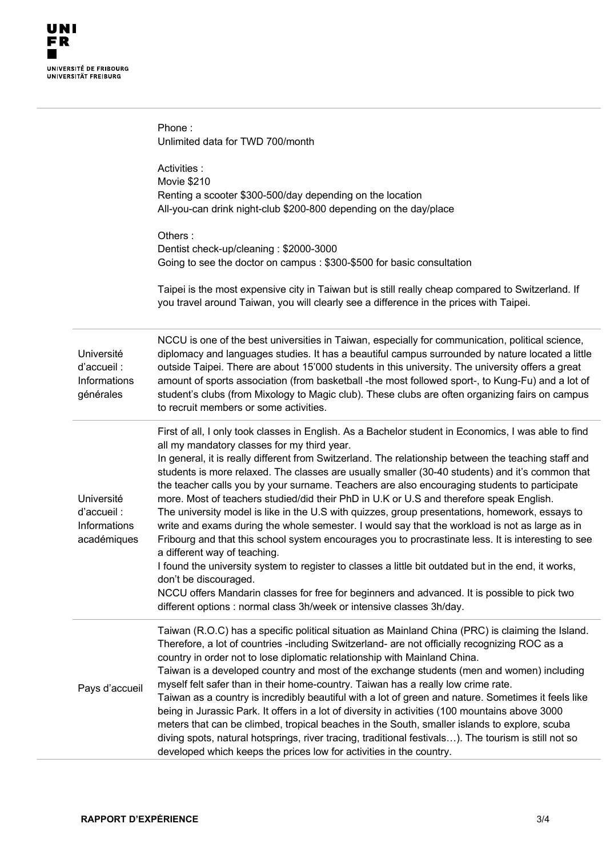|                                                          | Phone:<br>Unlimited data for TWD 700/month                                                                                                                                                                                                                                                                                                                                                                                                                                                                                                                                                                                                                                                                                                                                                                                                                                                                                                                                                                                                                                                                                                                                                                     |
|----------------------------------------------------------|----------------------------------------------------------------------------------------------------------------------------------------------------------------------------------------------------------------------------------------------------------------------------------------------------------------------------------------------------------------------------------------------------------------------------------------------------------------------------------------------------------------------------------------------------------------------------------------------------------------------------------------------------------------------------------------------------------------------------------------------------------------------------------------------------------------------------------------------------------------------------------------------------------------------------------------------------------------------------------------------------------------------------------------------------------------------------------------------------------------------------------------------------------------------------------------------------------------|
|                                                          | Activities :<br>Movie \$210<br>Renting a scooter \$300-500/day depending on the location<br>All-you-can drink night-club \$200-800 depending on the day/place                                                                                                                                                                                                                                                                                                                                                                                                                                                                                                                                                                                                                                                                                                                                                                                                                                                                                                                                                                                                                                                  |
|                                                          | Others:<br>Dentist check-up/cleaning: \$2000-3000<br>Going to see the doctor on campus: \$300-\$500 for basic consultation                                                                                                                                                                                                                                                                                                                                                                                                                                                                                                                                                                                                                                                                                                                                                                                                                                                                                                                                                                                                                                                                                     |
|                                                          | Taipei is the most expensive city in Taiwan but is still really cheap compared to Switzerland. If<br>you travel around Taiwan, you will clearly see a difference in the prices with Taipei.                                                                                                                                                                                                                                                                                                                                                                                                                                                                                                                                                                                                                                                                                                                                                                                                                                                                                                                                                                                                                    |
| Université<br>d'accueil :<br>Informations<br>générales   | NCCU is one of the best universities in Taiwan, especially for communication, political science,<br>diplomacy and languages studies. It has a beautiful campus surrounded by nature located a little<br>outside Taipei. There are about 15'000 students in this university. The university offers a great<br>amount of sports association (from basketball -the most followed sport-, to Kung-Fu) and a lot of<br>student's clubs (from Mixology to Magic club). These clubs are often organizing fairs on campus<br>to recruit members or some activities.                                                                                                                                                                                                                                                                                                                                                                                                                                                                                                                                                                                                                                                    |
| Université<br>d'accueil :<br>Informations<br>académiques | First of all, I only took classes in English. As a Bachelor student in Economics, I was able to find<br>all my mandatory classes for my third year.<br>In general, it is really different from Switzerland. The relationship between the teaching staff and<br>students is more relaxed. The classes are usually smaller (30-40 students) and it's common that<br>the teacher calls you by your surname. Teachers are also encouraging students to participate<br>more. Most of teachers studied/did their PhD in U.K or U.S and therefore speak English.<br>The university model is like in the U.S with quizzes, group presentations, homework, essays to<br>write and exams during the whole semester. I would say that the workload is not as large as in<br>Fribourg and that this school system encourages you to procrastinate less. It is interesting to see<br>a different way of teaching.<br>I found the university system to register to classes a little bit outdated but in the end, it works,<br>don't be discouraged.<br>NCCU offers Mandarin classes for free for beginners and advanced. It is possible to pick two<br>different options : normal class 3h/week or intensive classes 3h/day. |
| Pays d'accueil                                           | Taiwan (R.O.C) has a specific political situation as Mainland China (PRC) is claiming the Island.<br>Therefore, a lot of countries -including Switzerland- are not officially recognizing ROC as a<br>country in order not to lose diplomatic relationship with Mainland China.<br>Taiwan is a developed country and most of the exchange students (men and women) including<br>myself felt safer than in their home-country. Taiwan has a really low crime rate.<br>Taiwan as a country is incredibly beautiful with a lot of green and nature. Sometimes it feels like<br>being in Jurassic Park. It offers in a lot of diversity in activities (100 mountains above 3000<br>meters that can be climbed, tropical beaches in the South, smaller islands to explore, scuba<br>diving spots, natural hotsprings, river tracing, traditional festivals). The tourism is still not so<br>developed which keeps the prices low for activities in the country.                                                                                                                                                                                                                                                     |